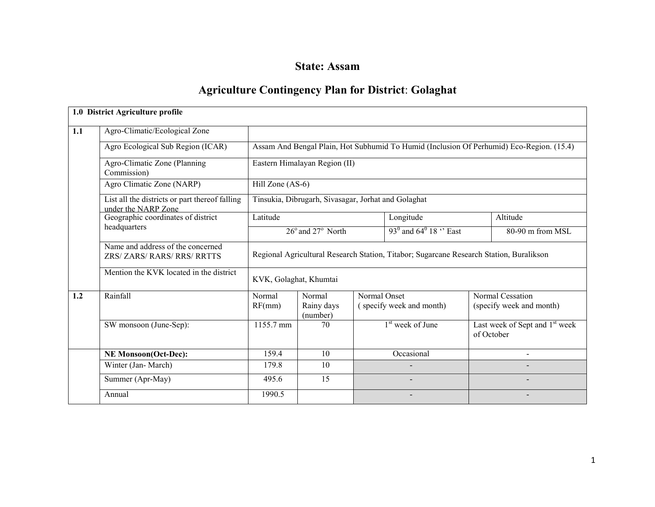# State: Assam

# Agriculture Contingency Plan for District: Golaghat

|     | 1.0 District Agriculture profile                                      |                                                                                         |                                                     |              |                                                        |  |                                                                                          |  |  |  |
|-----|-----------------------------------------------------------------------|-----------------------------------------------------------------------------------------|-----------------------------------------------------|--------------|--------------------------------------------------------|--|------------------------------------------------------------------------------------------|--|--|--|
| 1.1 | Agro-Climatic/Ecological Zone                                         |                                                                                         |                                                     |              |                                                        |  |                                                                                          |  |  |  |
|     | Agro Ecological Sub Region (ICAR)                                     |                                                                                         |                                                     |              |                                                        |  | Assam And Bengal Plain, Hot Subhumid To Humid (Inclusion Of Perhumid) Eco-Region. (15.4) |  |  |  |
|     | Agro-Climatic Zone (Planning<br>Commission)                           |                                                                                         | Eastern Himalayan Region (II)                       |              |                                                        |  |                                                                                          |  |  |  |
|     | Agro Climatic Zone (NARP)                                             | Hill Zone (AS-6)                                                                        |                                                     |              |                                                        |  |                                                                                          |  |  |  |
|     | List all the districts or part thereof falling<br>under the NARP Zone |                                                                                         | Tinsukia, Dibrugarh, Sivasagar, Jorhat and Golaghat |              |                                                        |  |                                                                                          |  |  |  |
|     | Geographic coordinates of district                                    | Latitude                                                                                |                                                     |              | Longitude                                              |  | Altitude                                                                                 |  |  |  |
|     | headquarters                                                          |                                                                                         | 26° and 27° North                                   |              | 93 $^{\rm 0}$ and 64 $^{\rm 0}$ 18 $^{\rm \circ}$ East |  | 80-90 m from MSL                                                                         |  |  |  |
|     | Name and address of the concerned<br>ZRS/ ZARS/ RARS/ RRS/ RRTTS      | Regional Agricultural Research Station, Titabor; Sugarcane Research Station, Buralikson |                                                     |              |                                                        |  |                                                                                          |  |  |  |
|     | Mention the KVK located in the district                               | KVK, Golaghat, Khumtai                                                                  |                                                     |              |                                                        |  |                                                                                          |  |  |  |
| 1.2 | Rainfall                                                              | Normal<br>RF(mm)                                                                        | Normal<br>Rainy days<br>(number)                    | Normal Onset | (specify week and month)                               |  | Normal Cessation<br>(specify week and month)                                             |  |  |  |
|     | SW monsoon (June-Sep):                                                | 1155.7 mm                                                                               | 70                                                  |              | $1st$ week of June                                     |  | Last week of Sept and 1 <sup>st</sup> week<br>of October                                 |  |  |  |
|     | <b>NE Monsoon(Oct-Dec):</b>                                           | 159.4                                                                                   | 10                                                  |              | Occasional                                             |  | $\overline{a}$                                                                           |  |  |  |
|     | Winter (Jan-March)                                                    | 179.8                                                                                   | 10                                                  |              |                                                        |  |                                                                                          |  |  |  |
|     | Summer (Apr-May)                                                      | 495.6                                                                                   | 15                                                  |              |                                                        |  |                                                                                          |  |  |  |
|     | Annual                                                                | 1990.5                                                                                  |                                                     |              |                                                        |  |                                                                                          |  |  |  |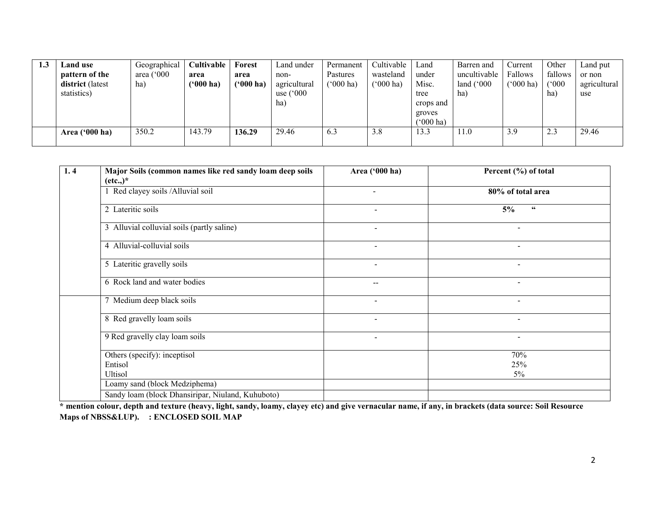| 1.3 | Land use         | Geographical        | <b>Cultivable</b> | Forest      | Land under         | Permanent          | Cultivable             | Land         | Barren and          | Current            | Other   | Land put     |
|-----|------------------|---------------------|-------------------|-------------|--------------------|--------------------|------------------------|--------------|---------------------|--------------------|---------|--------------|
|     | pattern of the   | area $(^{\circ}000$ | area              | area        | non-               | Pastures           | wasteland              | under        | uncultivable        | Fallows            | fallows | or non       |
|     | district (latest | ha)                 | $(900)$ ha)       | $(900)$ ha) | agricultural       | $(000 \text{ ha})$ | $(^{o}000 \text{ ha})$ | Misc.        | land $(^{\circ}000$ | $(000 \text{ ha})$ | (000)   | agricultural |
|     | statistics)      |                     |                   |             | use $(^{\circ}000$ |                    |                        | tree         | ha)                 |                    | ha      | use          |
|     |                  |                     |                   |             | ha)                |                    |                        | crops and    |                     |                    |         |              |
|     |                  |                     |                   |             |                    |                    |                        | groves       |                     |                    |         |              |
|     |                  |                     |                   |             |                    |                    |                        | $(5000)$ ha) |                     |                    |         |              |
|     | Area $(900)$ ha) | 350.2               | 143.79            | 136.29      | 29.46              | 6.3                | 3.8                    | 13.3         | 11.0                | 3.9                | 2.3     | 29.46        |
|     |                  |                     |                   |             |                    |                    |                        |              |                     |                    |         |              |

| 1.4 | Major Soils (common names like red sandy loam deep soils | Area ('000 ha)           | Percent (%) of total         |
|-----|----------------------------------------------------------|--------------------------|------------------------------|
|     | $(\text{etc.})^*$                                        |                          |                              |
|     | 1 Red clayey soils / Alluvial soil                       | $\overline{\phantom{0}}$ | 80% of total area            |
|     | 2 Lateritic soils                                        | $\blacksquare$           | 5%<br>$\textsf{\textbf{66}}$ |
|     | 3 Alluvial colluvial soils (partly saline)               | $\blacksquare$           | $\sim$                       |
|     | 4 Alluvial-colluvial soils                               | $\blacksquare$           | $\overline{\phantom{a}}$     |
|     | 5 Lateritic gravelly soils                               | $\sim$                   | $\overline{\phantom{a}}$     |
|     | 6 Rock land and water bodies                             | $-$                      |                              |
|     | 7 Medium deep black soils                                | $\overline{\phantom{a}}$ | $\overline{\phantom{a}}$     |
|     | 8 Red gravelly loam soils                                | $\sim$                   | $\blacksquare$               |
|     | 9 Red gravelly clay loam soils                           | $\blacksquare$           | $\sim$                       |
|     | Others (specify): inceptisol                             |                          | 70%                          |
|     | Entisol                                                  |                          | 25%                          |
|     | <b>Ultisol</b>                                           |                          | $5\%$                        |
|     | Loamy sand (block Medziphema)                            |                          |                              |
|     | Sandy loam (block Dhansiripar, Niuland, Kuhuboto)        |                          |                              |

 \* mention colour, depth and texture (heavy, light, sandy, loamy, clayey etc) and give vernacular name, if any, in brackets (data source: Soil Resource Maps of NBSS&LUP). : ENCLOSED SOIL MAP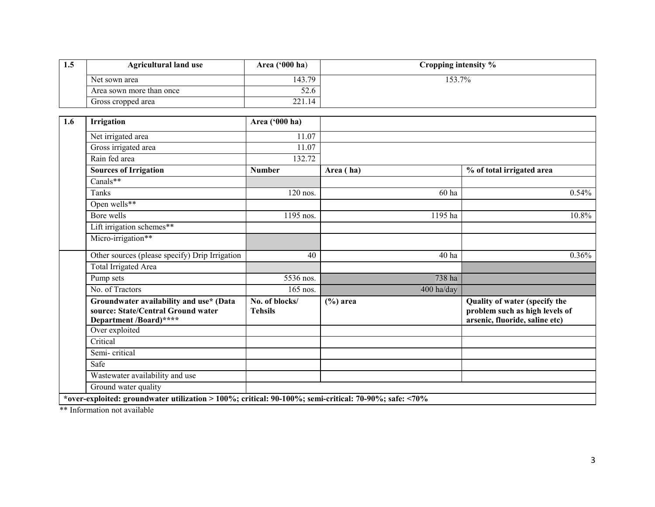| 1.5 | <b>Agricultural land use</b>                                                                            | Area ('000 ha)                   |              | Cropping intensity % |                                                                                                   |
|-----|---------------------------------------------------------------------------------------------------------|----------------------------------|--------------|----------------------|---------------------------------------------------------------------------------------------------|
|     | Net sown area                                                                                           | 143.79                           |              | 153.7%               |                                                                                                   |
|     | Area sown more than once                                                                                | 52.6                             |              |                      |                                                                                                   |
|     | Gross cropped area                                                                                      | 221.14                           |              |                      |                                                                                                   |
|     |                                                                                                         |                                  |              |                      |                                                                                                   |
| 1.6 | Irrigation                                                                                              | Area ('000 ha)                   |              |                      |                                                                                                   |
|     | Net irrigated area                                                                                      | 11.07                            |              |                      |                                                                                                   |
|     | Gross irrigated area                                                                                    | 11.07                            |              |                      |                                                                                                   |
|     | Rain fed area                                                                                           | 132.72                           |              |                      |                                                                                                   |
|     | <b>Sources of Irrigation</b>                                                                            | <b>Number</b>                    | Area (ha)    |                      | % of total irrigated area                                                                         |
|     | Canals**                                                                                                |                                  |              |                      |                                                                                                   |
|     | Tanks                                                                                                   | $120$ nos.                       |              | 60 ha                | 0.54%                                                                                             |
|     | Open wells**                                                                                            |                                  |              |                      |                                                                                                   |
|     | Bore wells                                                                                              | 1195 nos.                        |              | 1195 ha              | 10.8%                                                                                             |
|     | Lift irrigation schemes**                                                                               |                                  |              |                      |                                                                                                   |
|     | Micro-irrigation**                                                                                      |                                  |              |                      |                                                                                                   |
|     | Other sources (please specify) Drip Irrigation                                                          | 40                               |              | 40 ha                | 0.36%                                                                                             |
|     | <b>Total Irrigated Area</b>                                                                             |                                  |              |                      |                                                                                                   |
|     | Pump sets                                                                                               | 5536 nos.                        |              | 738 ha               |                                                                                                   |
|     | No. of Tractors                                                                                         | 165 nos.                         |              | 400 ha/day           |                                                                                                   |
|     | Groundwater availability and use* (Data<br>source: State/Central Ground water<br>Department /Board)**** | No. of blocks/<br><b>Tehsils</b> | $(\% )$ area |                      | Quality of water (specify the<br>problem such as high levels of<br>arsenic, fluoride, saline etc) |
|     | Over exploited                                                                                          |                                  |              |                      |                                                                                                   |
|     | Critical                                                                                                |                                  |              |                      |                                                                                                   |
|     | Semi-critical                                                                                           |                                  |              |                      |                                                                                                   |
|     | Safe                                                                                                    |                                  |              |                      |                                                                                                   |
|     | Wastewater availability and use                                                                         |                                  |              |                      |                                                                                                   |
|     | Ground water quality                                                                                    |                                  |              |                      |                                                                                                   |

\*\* Information not available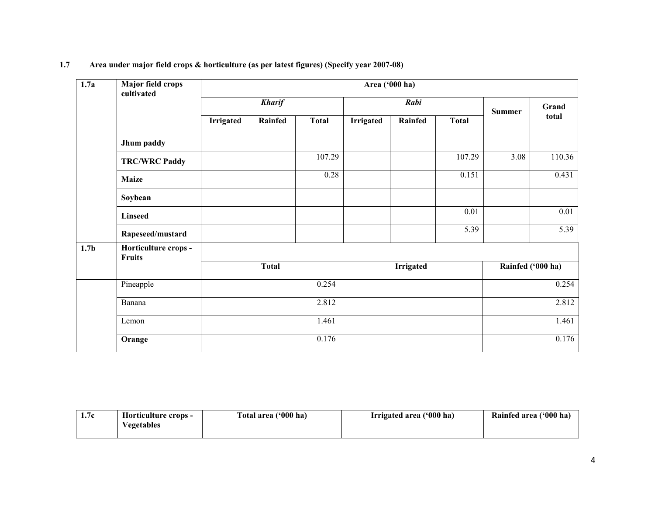| $\overline{1.7a}$ | <b>Major field crops</b><br>cultivated |                  |               |              |                  | Area ('000 ha)   |              |                   |        |
|-------------------|----------------------------------------|------------------|---------------|--------------|------------------|------------------|--------------|-------------------|--------|
|                   |                                        |                  | <b>Kharif</b> |              |                  | Rabi             |              | <b>Summer</b>     | Grand  |
|                   |                                        | <b>Irrigated</b> | Rainfed       | <b>Total</b> | <b>Irrigated</b> | Rainfed          | <b>Total</b> |                   | total  |
|                   | Jhum paddy                             |                  |               |              |                  |                  |              |                   |        |
|                   | <b>TRC/WRC Paddy</b>                   |                  |               | 107.29       |                  |                  | 107.29       | 3.08              | 110.36 |
|                   | <b>Maize</b>                           |                  |               | 0.28         |                  |                  | 0.151        |                   | 0.431  |
|                   | Soybean                                |                  |               |              |                  |                  |              |                   |        |
|                   | <b>Linseed</b>                         |                  |               |              |                  |                  | 0.01         |                   | 0.01   |
|                   | Rapeseed/mustard                       |                  |               |              |                  |                  | 5.39         |                   | 5.39   |
| 1.7 <sub>b</sub>  | Horticulture crops -<br><b>Fruits</b>  |                  |               |              |                  |                  |              |                   |        |
|                   |                                        |                  | <b>Total</b>  |              |                  | <b>Irrigated</b> |              | Rainfed ('000 ha) |        |
|                   | Pineapple                              |                  |               | 0.254        |                  |                  |              |                   | 0.254  |
|                   | Banana                                 |                  |               | 2.812        |                  |                  |              |                   | 2.812  |
|                   | Lemon                                  |                  |               | 1.461        |                  |                  |              |                   | 1.461  |
|                   | Orange                                 |                  |               | 0.176        |                  |                  |              |                   | 0.176  |

# 1.7 Area under major field crops & horticulture (as per latest figures) (Specify year 2007-08)

| 1.7c | Horticulture crops - | Total area ('000 ha) | Irrigated area ('000 ha) | Rainfed area ('000 ha) |
|------|----------------------|----------------------|--------------------------|------------------------|
|      | egetables            |                      |                          |                        |
|      |                      |                      |                          |                        |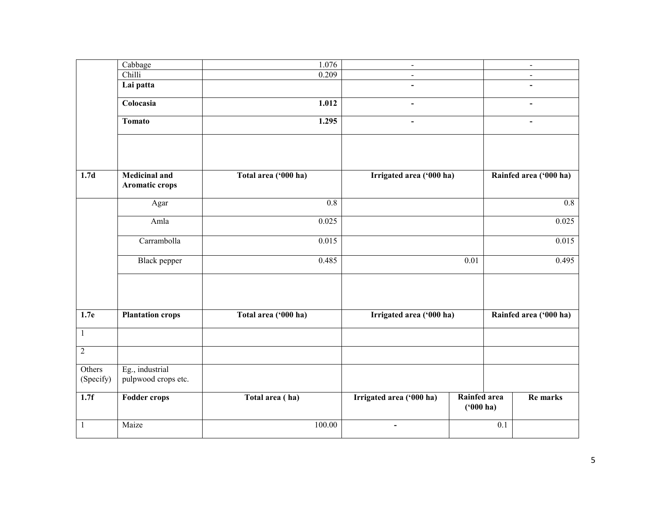|                     | Cabbage                                | 1.076                | $\blacksquare$           |                             |     | $\blacksquare$         |
|---------------------|----------------------------------------|----------------------|--------------------------|-----------------------------|-----|------------------------|
|                     | Chilli                                 | 0.209                | $\sim$                   |                             |     | $\blacksquare$         |
|                     | Lai patta                              |                      | $\blacksquare$           |                             |     | $\blacksquare$         |
|                     | Colocasia                              | 1.012                |                          |                             |     |                        |
|                     | <b>Tomato</b>                          | 1.295                | $\overline{\phantom{0}}$ |                             |     | $\blacksquare$         |
|                     |                                        |                      |                          |                             |     |                        |
| 1.7d                | <b>Medicinal and</b><br>Aromatic crops | Total area ('000 ha) | Irrigated area ('000 ha) |                             |     | Rainfed area ('000 ha) |
|                     | Agar                                   | $\overline{0.8}$     |                          |                             |     | $\overline{0.8}$       |
|                     | Amla                                   | 0.025                |                          |                             |     | 0.025                  |
|                     | Carrambolla                            | 0.015                |                          |                             |     | 0.015                  |
|                     | Black pepper                           | 0.485                |                          | 0.01                        |     | 0.495                  |
| 1.7e                | <b>Plantation crops</b>                | Total area ('000 ha) | Irrigated area ('000 ha) |                             |     | Rainfed area ('000 ha) |
| $\mathbf{1}$        |                                        |                      |                          |                             |     |                        |
|                     |                                        |                      |                          |                             |     |                        |
| $\overline{2}$      |                                        |                      |                          |                             |     |                        |
| Others<br>(Specify) | Eg., industrial<br>pulpwood crops etc. |                      |                          |                             |     |                        |
| 1.7f                | <b>Fodder crops</b>                    | Total area (ha)      | Irrigated area ('000 ha) | Rainfed area<br>$(900)$ ha) |     | Re marks               |
| 1                   | Maize                                  | 100.00               | $\blacksquare$           |                             | 0.1 |                        |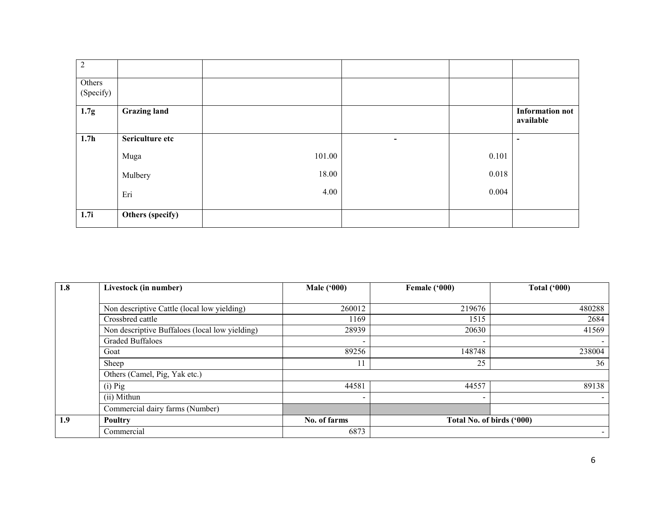| $\overline{2}$      |                     |        |                |       |                                     |
|---------------------|---------------------|--------|----------------|-------|-------------------------------------|
| Others<br>(Specify) |                     |        |                |       |                                     |
| 1.7g                | <b>Grazing land</b> |        |                |       | <b>Information not</b><br>available |
| 1.7 <sub>h</sub>    | Sericulture etc     |        | $\blacksquare$ |       | $\overline{\phantom{a}}$            |
|                     | Muga                | 101.00 |                | 0.101 |                                     |
|                     | Mulbery             | 18.00  |                | 0.018 |                                     |
|                     | Eri                 | 4.00   |                | 0.004 |                                     |
| 1.7i                | Others (specify)    |        |                |       |                                     |

| 1.8 | Livestock (in number)                          | <b>Male</b> ('000) | Female ('000)             | <b>Total ('000)</b>      |
|-----|------------------------------------------------|--------------------|---------------------------|--------------------------|
|     |                                                |                    |                           |                          |
|     | Non descriptive Cattle (local low yielding)    | 260012             | 219676                    | 480288                   |
|     | Crossbred cattle                               | 1169               | 1515                      | 2684                     |
|     | Non descriptive Buffaloes (local low yielding) | 28939              | 20630                     | 41569                    |
|     | <b>Graded Buffaloes</b>                        |                    | $\overline{\phantom{0}}$  | $\overline{\phantom{a}}$ |
|     | Goat                                           | 89256              | 148748                    | 238004                   |
|     | Sheep                                          |                    | 25                        | 36                       |
|     | Others (Camel, Pig, Yak etc.)                  |                    |                           |                          |
|     | $(i)$ Pig                                      | 44581              | 44557                     | 89138                    |
|     | (ii) Mithun                                    |                    | ۰.                        | $\blacksquare$           |
|     | Commercial dairy farms (Number)                |                    |                           |                          |
| 1.9 | <b>Poultry</b>                                 | No. of farms       | Total No. of birds ('000) |                          |
|     | Commercial                                     | 6873               |                           | $\overline{\phantom{0}}$ |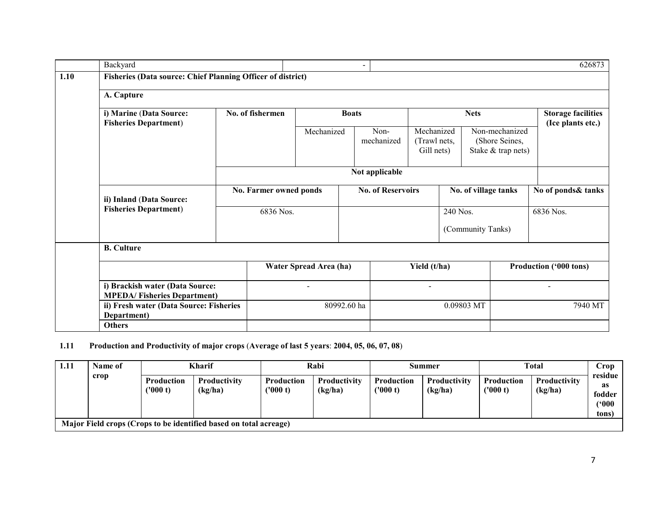|      | Backyard                                                              |                                                  |                        |                        | $\overline{\phantom{a}}$ |                          |                                          |                      |                   |                                                        | 626873                                         |  |
|------|-----------------------------------------------------------------------|--------------------------------------------------|------------------------|------------------------|--------------------------|--------------------------|------------------------------------------|----------------------|-------------------|--------------------------------------------------------|------------------------------------------------|--|
| 1.10 | <b>Fisheries (Data source: Chief Planning Officer of district)</b>    |                                                  |                        |                        |                          |                          |                                          |                      |                   |                                                        |                                                |  |
|      | A. Capture                                                            |                                                  |                        |                        |                          |                          |                                          |                      |                   |                                                        |                                                |  |
|      | i) Marine (Data Source:                                               | No. of fishermen<br><b>Fisheries Department)</b> |                        |                        | <b>Boats</b>             |                          | <b>Nets</b>                              |                      |                   |                                                        | <b>Storage facilities</b><br>(Ice plants etc.) |  |
|      |                                                                       |                                                  |                        | Mechanized             |                          | Non-<br>mechanized       | Mechanized<br>(Trawl nets,<br>Gill nets) |                      |                   | Non-mechanized<br>(Shore Seines,<br>Stake & trap nets) |                                                |  |
|      |                                                                       |                                                  | Not applicable         |                        |                          |                          |                                          |                      |                   |                                                        |                                                |  |
|      | ii) Inland (Data Source:                                              |                                                  | No. Farmer owned ponds |                        |                          | <b>No. of Reservoirs</b> |                                          | No. of village tanks |                   |                                                        | No of ponds& tanks                             |  |
|      | <b>Fisheries Department)</b>                                          | 6836 Nos.                                        |                        |                        |                          |                          |                                          | 240 Nos.             |                   |                                                        | 6836 Nos.                                      |  |
|      |                                                                       |                                                  |                        |                        |                          |                          |                                          |                      | (Community Tanks) |                                                        |                                                |  |
|      | <b>B.</b> Culture                                                     |                                                  |                        |                        |                          |                          |                                          |                      |                   |                                                        |                                                |  |
|      |                                                                       |                                                  |                        | Water Spread Area (ha) |                          |                          | Yield (t/ha)                             |                      |                   |                                                        | Production ('000 tons)                         |  |
|      | i) Brackish water (Data Source:<br><b>MPEDA/Fisheries Department)</b> |                                                  |                        |                        |                          |                          | $\blacksquare$                           |                      |                   |                                                        | $\overline{\phantom{a}}$                       |  |
|      | Department)                                                           | ii) Fresh water (Data Source: Fisheries          |                        |                        | 80992.60 ha              |                          | 0.09803 MT                               |                      |                   | 7940 MT                                                |                                                |  |
|      | <b>Others</b>                                                         |                                                  |                        |                        |                          |                          |                                          |                      |                   |                                                        |                                                |  |

## 1.11 Production and Productivity of major crops (Average of last 5 years: 2004, 05, 06, 07, 08)

| 1.11 | Name of                                                           |                              | <b>Kharif</b>                  | Rabi                          |                         |                        | Summer                  | <b>Total</b>                 | Crop                           |                                          |  |  |
|------|-------------------------------------------------------------------|------------------------------|--------------------------------|-------------------------------|-------------------------|------------------------|-------------------------|------------------------------|--------------------------------|------------------------------------------|--|--|
|      | crop                                                              | <b>Production</b><br>(000 t) | <b>Productivity</b><br>(kg/ha) | <b>Production</b><br>(1000 t) | Productivity<br>(kg/ha) | Production<br>('000 t) | Productivity<br>(kg/ha) | <b>Production</b><br>(000 t) | <b>Productivity</b><br>(kg/ha) | residue<br>as<br>fodder<br>('000<br>tons |  |  |
|      | Major Field crops (Crops to be identified based on total acreage) |                              |                                |                               |                         |                        |                         |                              |                                |                                          |  |  |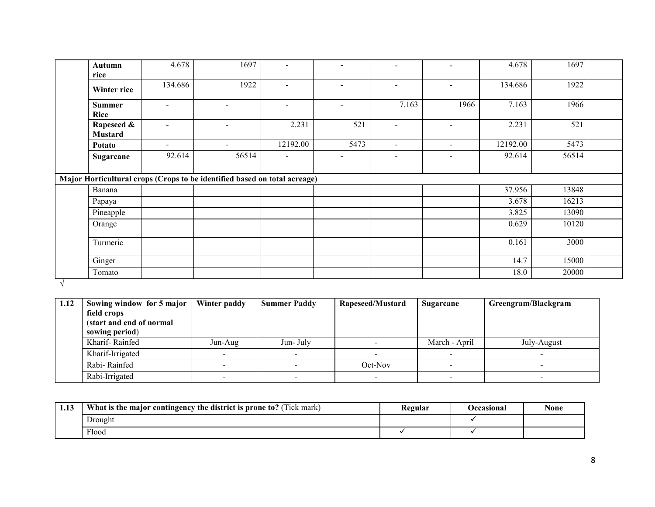| <b>Autumn</b><br>rice        | 4.678                    | 1697                                                                      | $\overline{\phantom{0}}$ | $\overline{\phantom{a}}$ | $\overline{\phantom{a}}$ |                          | 4.678    | 1697  |  |
|------------------------------|--------------------------|---------------------------------------------------------------------------|--------------------------|--------------------------|--------------------------|--------------------------|----------|-------|--|
| Winter rice                  | 134.686                  | 1922                                                                      | $\overline{\phantom{0}}$ |                          | $\blacksquare$           | $\overline{\phantom{0}}$ | 134.686  | 1922  |  |
| <b>Summer</b><br>Rice        | $\blacksquare$           | $\sim$                                                                    | $\sim$                   | $\sim$                   | 7.163                    | 1966                     | 7.163    | 1966  |  |
| Rapeseed &<br><b>Mustard</b> | $\overline{\phantom{0}}$ | $\sim$                                                                    | 2.231                    | 521                      | $\sim$                   | $\overline{\phantom{a}}$ | 2.231    | 521   |  |
| Potato                       | $\sim$                   | $\sim$                                                                    | 12192.00                 | 5473                     | $\sim$                   |                          | 12192.00 | 5473  |  |
| Sugarcane                    | 92.614                   | 56514                                                                     | $\overline{\phantom{a}}$ |                          | $\overline{\phantom{0}}$ | $\overline{\phantom{0}}$ | 92.614   | 56514 |  |
|                              |                          |                                                                           |                          |                          |                          |                          |          |       |  |
|                              |                          | Major Horticultural crops (Crops to be identified based on total acreage) |                          |                          |                          |                          |          |       |  |
| Banana                       |                          |                                                                           |                          |                          |                          |                          | 37.956   | 13848 |  |
| Papaya                       |                          |                                                                           |                          |                          |                          |                          | 3.678    | 16213 |  |
| Pineapple                    |                          |                                                                           |                          |                          |                          |                          | 3.825    | 13090 |  |
| Orange                       |                          |                                                                           |                          |                          |                          |                          | 0.629    | 10120 |  |
| Turmeric                     |                          |                                                                           |                          |                          |                          |                          | 0.161    | 3000  |  |
| Ginger                       |                          |                                                                           |                          |                          |                          |                          | 14.7     | 15000 |  |
| Tomato                       |                          |                                                                           |                          |                          |                          |                          | 18.0     | 20000 |  |

√

| 1.12 | Sowing window for 5 major | Winter paddy | <b>Summer Paddy</b> | Rapeseed/Mustard | Sugarcane     | Greengram/Blackgram |
|------|---------------------------|--------------|---------------------|------------------|---------------|---------------------|
|      | field crops               |              |                     |                  |               |                     |
|      | (start and end of normal  |              |                     |                  |               |                     |
|      | sowing period)            |              |                     |                  |               |                     |
|      | Kharif-Rainfed            | Jun-Aug      | Jun-July            |                  | March - April | July-August         |
|      | Kharif-Irrigated          |              |                     |                  |               |                     |
|      | Rabi-Rainfed              |              |                     | Oct-Nov          |               |                     |
|      | Rabi-Irrigated            |              |                     |                  |               |                     |

| 1.13 | What is the major contingency the district is prone to? (Tick mark) | Regular | Occasional | <b>None</b> |
|------|---------------------------------------------------------------------|---------|------------|-------------|
|      | Drought                                                             |         |            |             |
|      | T1<br>Flood                                                         |         |            |             |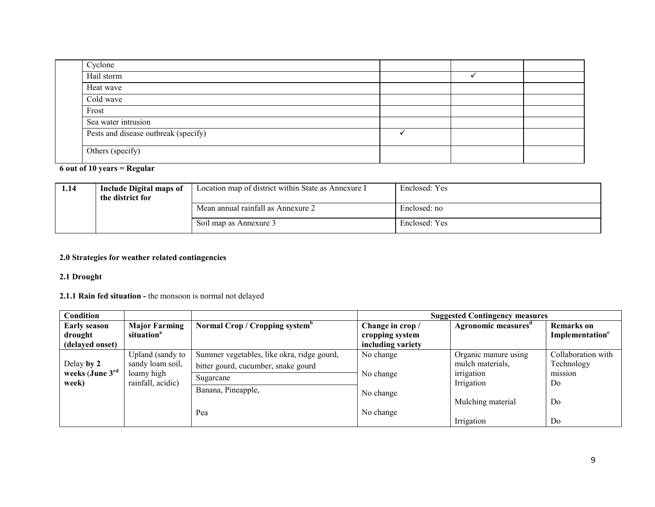| Cyclone                              |  |  |
|--------------------------------------|--|--|
| Hail storm                           |  |  |
| Heat wave                            |  |  |
| Cold wave                            |  |  |
| Frost                                |  |  |
| Sea water intrusion                  |  |  |
| Pests and disease outbreak (specify) |  |  |
| Others (specify)                     |  |  |

# 6 out of 10 years = Regular

| 1.14 | Include Digital maps of<br>the district for | Location map of district within State as Annexure I | Enclosed: Yes |
|------|---------------------------------------------|-----------------------------------------------------|---------------|
|      |                                             | Mean annual rainfall as Annexure 2                  | Enclosed: no  |
|      |                                             | Soil map as Annexure 3                              | Enclosed: Yes |

## 2.0 Strategies for weather related contingencies

# 2.1 Drought

# 2.1.1 Rain fed situation - the monsoon is normal not delayed

| Condition           |                        |                                            |                   | <b>Suggested Contingency measures</b> |                             |
|---------------------|------------------------|--------------------------------------------|-------------------|---------------------------------------|-----------------------------|
| <b>Early season</b> | <b>Major Farming</b>   | Normal Crop / Cropping system <sup>o</sup> | Change in crop /  | Agronomic measures <sup>a</sup>       | <b>Remarks</b> on           |
| drought             | situation <sup>a</sup> |                                            | cropping system   |                                       | Implementation <sup>e</sup> |
| (delayed onset)     |                        |                                            | including variety |                                       |                             |
|                     | Upland (sandy to       | Summer vegetables, like okra, ridge gourd, | No change         | Organic manure using                  | Collaboration with          |
| Delay by 2          | sandy loam soil,       | bitter gourd, cucumber, snake gourd        |                   | mulch materials,                      | Technology                  |
| weeks (June 3rd     | loamy high             | Sugarcane                                  | No change         | irrigation                            | mission                     |
| week)               | rainfall, acidic)      | Banana, Pineapple,                         |                   | Irrigation                            | Do                          |
|                     |                        |                                            | No change         |                                       |                             |
|                     |                        |                                            |                   | Mulching material                     | Do                          |
|                     |                        | Pea                                        | No change         |                                       |                             |
|                     |                        |                                            |                   | Irrigation                            | Do                          |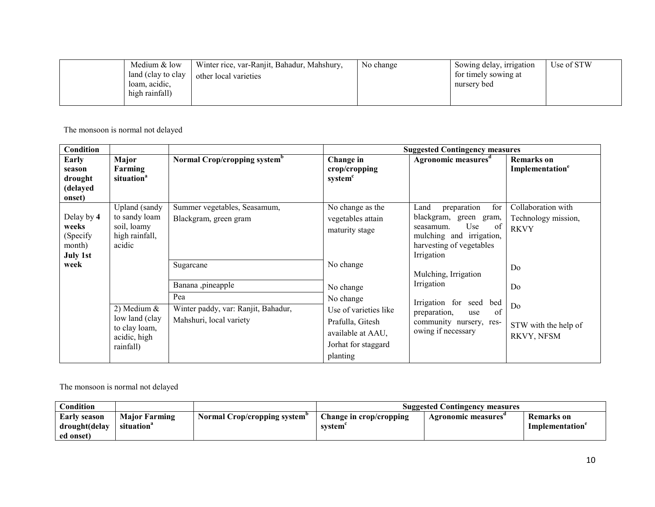| Medium & low<br>land (clay to clay<br>loam, acidic,<br>high rainfall) | Winter rice, var-Ranjit, Bahadur, Mahshury,<br>other local varieties | No change | Sowing delay, irrigation<br>for timely sowing at<br>nursery bed | Use of STW |
|-----------------------------------------------------------------------|----------------------------------------------------------------------|-----------|-----------------------------------------------------------------|------------|
|                                                                       |                                                                      |           |                                                                 |            |

The monsoon is normal not delayed

| <b>Condition</b>                                              |                                                                               |                                                                |                                                                                                   | <b>Suggested Contingency measures</b>                                                                                                                    |                                                          |
|---------------------------------------------------------------|-------------------------------------------------------------------------------|----------------------------------------------------------------|---------------------------------------------------------------------------------------------------|----------------------------------------------------------------------------------------------------------------------------------------------------------|----------------------------------------------------------|
| Early<br>season<br>drought<br>(delayed<br>onset)              | Major<br>Farming<br>situation <sup>a</sup>                                    | Normal Crop/cropping system <sup>b</sup>                       | Change in<br>crop/cropping<br>system <sup>c</sup>                                                 | Agronomic measures <sup>d</sup>                                                                                                                          | <b>Remarks</b> on<br>Implementation <sup>e</sup>         |
| Delay by 4<br>weeks<br>(Specify)<br>month)<br><b>July 1st</b> | Upland (sandy<br>to sandy loam<br>soil, loamy<br>high rainfall,<br>acidic     | Summer vegetables, Seasamum,<br>Blackgram, green gram          | No change as the<br>vegetables attain<br>maturity stage                                           | for<br>preparation<br>Land<br>blackgram, green<br>gram,<br>Use<br>-of<br>seasamum.<br>mulching and irrigation,<br>harvesting of vegetables<br>Irrigation | Collaboration with<br>Technology mission,<br><b>RKVY</b> |
| week                                                          |                                                                               | Sugarcane<br>Banana ,pineapple<br>Pea                          | No change<br>No change<br>No change                                                               | Mulching, Irrigation<br>Irrigation                                                                                                                       | Do<br>Do                                                 |
|                                                               | 2) Medium $&$<br>low land (clay<br>to clay loam,<br>acidic, high<br>rainfall) | Winter paddy, var: Ranjit, Bahadur,<br>Mahshuri, local variety | Use of varieties like<br>Prafulla, Gitesh<br>available at AAU,<br>Jorhat for staggard<br>planting | Irrigation for seed bed<br>of<br>preparation,<br>use<br>community nursery, res-<br>owing if necessary                                                    | Do<br>STW with the help of<br>RKVY, NFSM                 |

The monsoon is normal not delayed

| $\complement$ ondition |                        |                              | <b>Suggested Contingency measures</b> |                    |                 |  |
|------------------------|------------------------|------------------------------|---------------------------------------|--------------------|-----------------|--|
| <b>Early season</b>    | <b>Maior Farming</b>   | Normal Crop/cropping system" | $\Box$ hange in crop/cropping         | Agronomic measures | Remarks on      |  |
| drought(delay          | situation <sup>a</sup> |                              | svstem                                |                    | Implementation' |  |
| ed onset)              |                        |                              |                                       |                    |                 |  |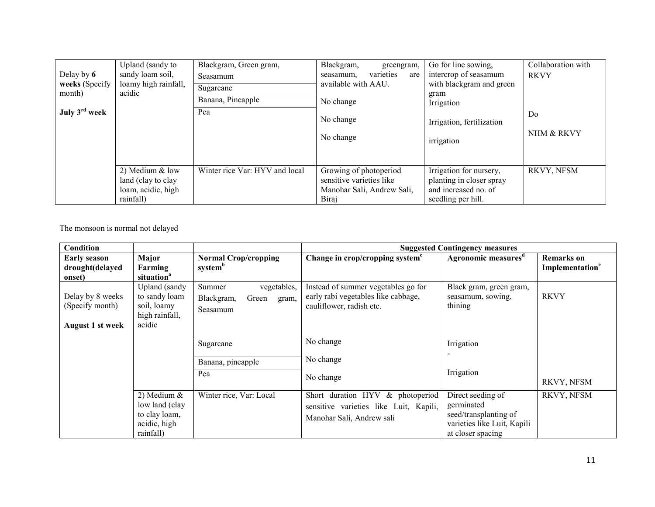| Delay by $6$<br>weeks (Specify<br>month)<br>July 3 <sup>rd</sup> week | Upland (sandy to<br>sandy loam soil,<br>loamy high rainfall,<br>acidic   | Blackgram, Green gram,<br>Seasamum<br>Sugarcane<br>Banana, Pineapple<br>Pea | Blackgram,<br>greengram,<br>varieties<br>seasamum.<br>are<br>available with AAU.<br>No change<br>No change<br>No change | Go for line sowing,<br>intercrop of seasamum<br>with blackgram and green<br>gram<br>Irrigation<br>Irrigation, fertilization<br>irrigation | Collaboration with<br><b>RKVY</b><br>D <sub>0</sub><br>NHM & RKVY |
|-----------------------------------------------------------------------|--------------------------------------------------------------------------|-----------------------------------------------------------------------------|-------------------------------------------------------------------------------------------------------------------------|-------------------------------------------------------------------------------------------------------------------------------------------|-------------------------------------------------------------------|
|                                                                       | 2) Medium & low<br>land (clay to clay<br>loam, acidic, high<br>rainfall) | Winter rice Var: HYV and local                                              | Growing of photoperiod<br>sensitive varieties like<br>Manohar Sali, Andrew Sali,<br>Biraj                               | Irrigation for nursery,<br>planting in closer spray<br>and increased no. of<br>seedling per hill.                                         | RKVY, NFSM                                                        |

The monsoon is normal not delayed

| Condition                                               |                                                                               |                                                                   | <b>Suggested Contingency measures</b>                                                                   |                                                                                                              |                                                  |
|---------------------------------------------------------|-------------------------------------------------------------------------------|-------------------------------------------------------------------|---------------------------------------------------------------------------------------------------------|--------------------------------------------------------------------------------------------------------------|--------------------------------------------------|
| <b>Early season</b><br>drought(delayed<br>onset)        | Major<br>Farming<br>situation <sup>a</sup>                                    | <b>Normal Crop/cropping</b><br>system <sup>b</sup>                | Change in crop/cropping system <sup>c</sup>                                                             | Agronomic measures <sup>d</sup>                                                                              | <b>Remarks</b> on<br>Implementation <sup>e</sup> |
| Delay by 8 weeks<br>(Specify month)<br>August 1 st week | Upland (sandy<br>to sandy loam<br>soil, loamy<br>high rainfall,<br>acidic     | Summer<br>vegetables,<br>Blackgram,<br>Green<br>gram,<br>Seasamum | Instead of summer vegetables go for<br>early rabi vegetables like cabbage,<br>cauliflower, radish etc.  | Black gram, green gram,<br>seasamum, sowing,<br>thining                                                      | <b>RKVY</b>                                      |
|                                                         |                                                                               | Sugarcane<br>Banana, pineapple<br>Pea                             | No change<br>No change<br>No change                                                                     | Irrigation<br>Irrigation                                                                                     | RKVY, NFSM                                       |
|                                                         | 2) Medium $&$<br>low land (clay<br>to clay loam,<br>acidic, high<br>rainfall) | Winter rice, Var: Local                                           | Short duration HYV & photoperiod<br>sensitive varieties like Luit, Kapili,<br>Manohar Sali, Andrew sali | Direct seeding of<br>germinated<br>seed/transplanting of<br>varieties like Luit, Kapili<br>at closer spacing | RKVY, NFSM                                       |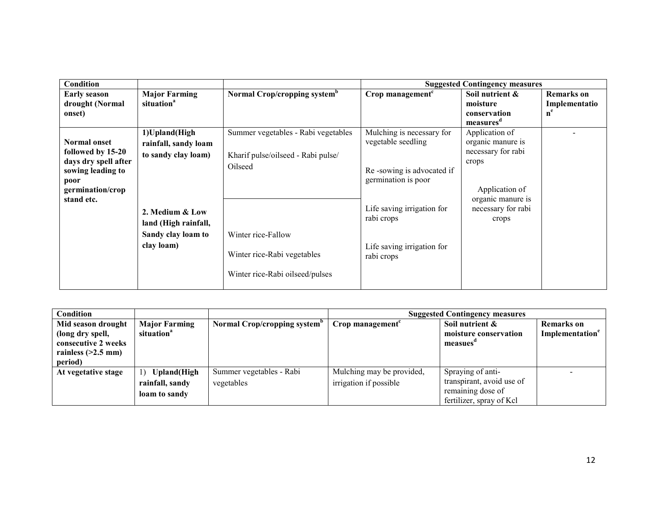| <b>Condition</b>     |                        |                                          |                                          | <b>Suggested Contingency measures</b> |                   |
|----------------------|------------------------|------------------------------------------|------------------------------------------|---------------------------------------|-------------------|
| <b>Early season</b>  | <b>Major Farming</b>   | Normal Crop/cropping system <sup>b</sup> | Crop management <sup>c</sup>             | Soil nutrient &                       | <b>Remarks</b> on |
| drought (Normal      | situation <sup>a</sup> |                                          |                                          | moisture                              | Implementatio     |
| onset)               |                        |                                          |                                          | conservation                          | $n^e$             |
|                      |                        |                                          |                                          | measures <sup>a</sup>                 |                   |
|                      | 1) Upland (High        | Summer vegetables - Rabi vegetables      | Mulching is necessary for                | Application of                        |                   |
| <b>Normal onset</b>  | rainfall, sandy loam   |                                          | vegetable seedling                       | organic manure is                     |                   |
| followed by 15-20    | to sandy clay loam)    | Kharif pulse/oilseed - Rabi pulse/       |                                          | necessary for rabi                    |                   |
| days dry spell after |                        | Oilseed                                  |                                          | crops                                 |                   |
| sowing leading to    |                        |                                          | Re-sowing is advocated if                |                                       |                   |
| poor                 |                        |                                          | germination is poor                      |                                       |                   |
| germination/crop     |                        |                                          |                                          | Application of                        |                   |
| stand etc.           |                        |                                          |                                          | organic manure is                     |                   |
|                      | 2. Medium & Low        |                                          | Life saving irrigation for<br>rabi crops | necessary for rabi                    |                   |
|                      | land (High rainfall,   |                                          |                                          | crops                                 |                   |
|                      | Sandy clay loam to     | Winter rice-Fallow                       |                                          |                                       |                   |
|                      | clay loam)             |                                          | Life saving irrigation for               |                                       |                   |
|                      |                        | Winter rice-Rabi vegetables              | rabi crops                               |                                       |                   |
|                      |                        |                                          |                                          |                                       |                   |
|                      |                        | Winter rice-Rabi oilseed/pulses          |                                          |                                       |                   |
|                      |                        |                                          |                                          |                                       |                   |

| Condition                                                                                        |                                                            |                                          |                                                     | <b>Suggested Contingency measures</b>                |                                                  |
|--------------------------------------------------------------------------------------------------|------------------------------------------------------------|------------------------------------------|-----------------------------------------------------|------------------------------------------------------|--------------------------------------------------|
| Mid season drought<br>(long dry spell,<br>consecutive 2 weeks<br>rainless $(>2.5$ mm)<br>period) | <b>Major Farming</b><br>situation <sup>a</sup>             | Normal Crop/cropping system <sup>b</sup> | Crop management <sup>c</sup>                        | Soil nutrient &<br>moisture conservation<br>measues" | <b>Remarks</b> on<br>Implementation <sup>e</sup> |
| At vegetative stage                                                                              | <b>Upland</b> (High<br>$\left( \right)$<br>rainfall, sandy | Summer vegetables - Rabi<br>vegetables   | Mulching may be provided,<br>irrigation if possible | Spraying of anti-<br>transpirant, avoid use of       |                                                  |
|                                                                                                  | loam to sandy                                              |                                          |                                                     | remaining dose of<br>fertilizer, spray of Kcl        |                                                  |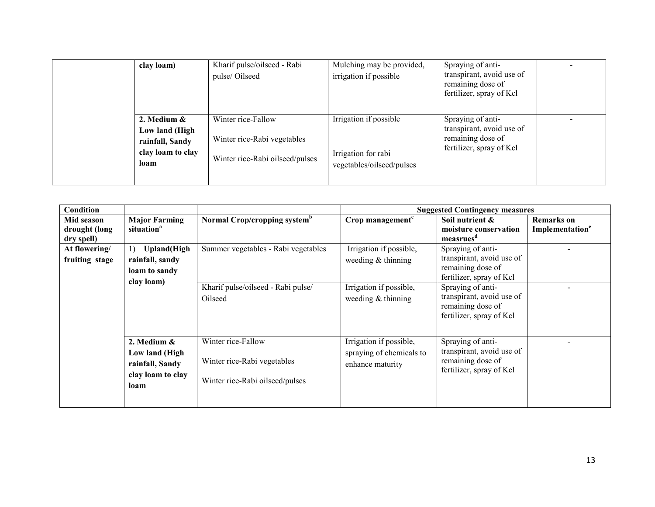| clay loam)                                                                       | Kharif pulse/oilseed - Rabi<br>pulse/Oilseed                                         | Mulching may be provided,<br>irrigation if possible                        | Spraying of anti-<br>transpirant, avoid use of<br>remaining dose of<br>fertilizer, spray of Kcl |  |
|----------------------------------------------------------------------------------|--------------------------------------------------------------------------------------|----------------------------------------------------------------------------|-------------------------------------------------------------------------------------------------|--|
| 2. Medium $\&$<br>Low land (High<br>rainfall, Sandy<br>clay loam to clay<br>loam | Winter rice-Fallow<br>Winter rice-Rabi vegetables<br>Winter rice-Rabi oilseed/pulses | Irrigation if possible<br>Irrigation for rabi<br>vegetables/oilseed/pulses | Spraying of anti-<br>transpirant, avoid use of<br>remaining dose of<br>fertilizer, spray of Kcl |  |

| <b>Condition</b>                          |                                                                               |                                                                                      |                                                                         | <b>Suggested Contingency measures</b>                                                           |                                                  |
|-------------------------------------------|-------------------------------------------------------------------------------|--------------------------------------------------------------------------------------|-------------------------------------------------------------------------|-------------------------------------------------------------------------------------------------|--------------------------------------------------|
| Mid season<br>drought (long<br>dry spell) | <b>Major Farming</b><br>situation <sup>a</sup>                                | Normal Crop/cropping system <sup>b</sup>                                             | Crop management <sup>c</sup>                                            | Soil nutrient &<br>moisture conservation<br>measrues <sup>d</sup>                               | <b>Remarks</b> on<br>Implementation <sup>e</sup> |
| At flowering/<br>fruiting stage           | <b>Upland</b> (High<br>1)<br>rainfall, sandy<br>loam to sandy                 | Summer vegetables - Rabi vegetables                                                  | Irrigation if possible,<br>weeding $&$ thinning                         | Spraying of anti-<br>transpirant, avoid use of<br>remaining dose of<br>fertilizer, spray of Kcl |                                                  |
|                                           | clay loam)                                                                    | Kharif pulse/oilseed - Rabi pulse/<br>Oilseed                                        | Irrigation if possible,<br>weeding $&$ thinning                         | Spraying of anti-<br>transpirant, avoid use of<br>remaining dose of<br>fertilizer, spray of Kcl |                                                  |
|                                           | 2. Medium &<br>Low land (High<br>rainfall, Sandy<br>clay loam to clay<br>loam | Winter rice-Fallow<br>Winter rice-Rabi vegetables<br>Winter rice-Rabi oilseed/pulses | Irrigation if possible,<br>spraying of chemicals to<br>enhance maturity | Spraying of anti-<br>transpirant, avoid use of<br>remaining dose of<br>fertilizer, spray of Kcl |                                                  |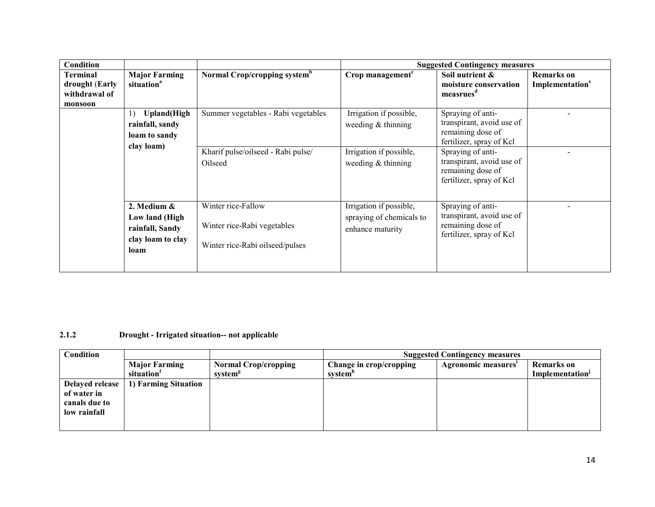| Condition                                              |                                                                                                 |                                                                                      |                                                                         | <b>Suggested Contingency measures</b>                                                           |                                                  |
|--------------------------------------------------------|-------------------------------------------------------------------------------------------------|--------------------------------------------------------------------------------------|-------------------------------------------------------------------------|-------------------------------------------------------------------------------------------------|--------------------------------------------------|
| Terminal<br>drought (Early<br>withdrawal of<br>monsoon | <b>Major Farming</b><br>situation <sup>a</sup>                                                  | Normal Crop/cropping system <sup>b</sup>                                             | Crop management <sup>c</sup>                                            | Soil nutrient &<br>moisture conservation<br>measrues <sup>d</sup>                               | <b>Remarks</b> on<br>Implementation <sup>e</sup> |
|                                                        | <b>Upland</b> (High<br>$\left  \cdot \right $<br>rainfall, sandy<br>loam to sandy<br>clay loam) | Summer vegetables - Rabi vegetables                                                  | Irrigation if possible,<br>weeding $&$ thinning                         | Spraying of anti-<br>transpirant, avoid use of<br>remaining dose of<br>fertilizer, spray of Kcl |                                                  |
|                                                        |                                                                                                 | Kharif pulse/oilseed - Rabi pulse/<br>Oilseed                                        | Irrigation if possible,<br>weeding $&$ thinning                         | Spraying of anti-<br>transpirant, avoid use of<br>remaining dose of<br>fertilizer, spray of Kcl |                                                  |
|                                                        | 2. Medium &<br>Low land (High<br>rainfall, Sandy<br>clay loam to clay<br>loam                   | Winter rice-Fallow<br>Winter rice-Rabi vegetables<br>Winter rice-Rabi oilseed/pulses | Irrigation if possible,<br>spraying of chemicals to<br>enhance maturity | Spraying of anti-<br>transpirant, avoid use of<br>remaining dose of<br>fertilizer, spray of Kcl |                                                  |

### 2.1.2 Drought - Irrigated situation-- not applicable

| Condition                                                       |                                    |                                                    | <b>Suggested Contingency measures</b> |                    |                                                  |
|-----------------------------------------------------------------|------------------------------------|----------------------------------------------------|---------------------------------------|--------------------|--------------------------------------------------|
|                                                                 | <b>Major Farming</b><br>situation' | <b>Normal Crop/cropping</b><br>system <sup>g</sup> | Change in crop/cropping<br>system"    | Agronomic measures | <b>Remarks</b> on<br>Implementation <sup>1</sup> |
| Delayed release<br>of water in<br>canals due to<br>low rainfall | 1) Farming Situation               |                                                    |                                       |                    |                                                  |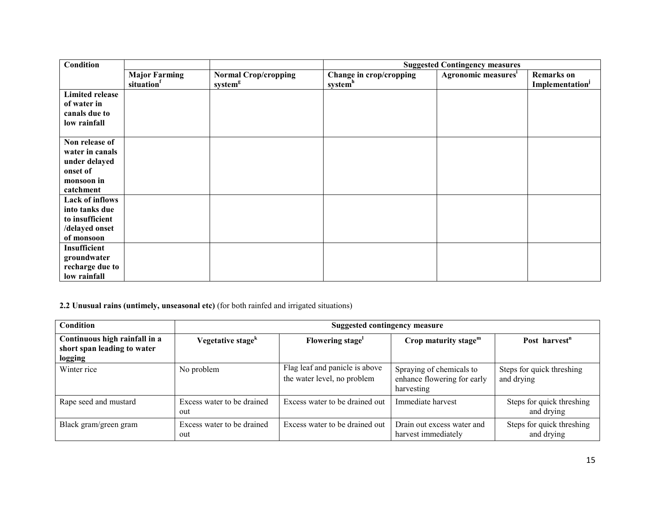| <b>Condition</b>                                                                          |                                                |                                                    | <b>Suggested Contingency measures</b>          |                                 |                                     |
|-------------------------------------------------------------------------------------------|------------------------------------------------|----------------------------------------------------|------------------------------------------------|---------------------------------|-------------------------------------|
|                                                                                           | <b>Major Farming</b><br>situation <sup>f</sup> | <b>Normal Crop/cropping</b><br>system <sup>g</sup> | Change in crop/cropping<br>system <sup>h</sup> | Agronomic measures <sup>i</sup> | <b>Remarks</b> on<br>Implementation |
| <b>Limited release</b><br>of water in<br>canals due to<br>low rainfall                    |                                                |                                                    |                                                |                                 |                                     |
| Non release of<br>water in canals<br>under delayed<br>onset of<br>monsoon in<br>catchment |                                                |                                                    |                                                |                                 |                                     |
| Lack of inflows<br>into tanks due<br>to insufficient<br>/delayed onset<br>of monsoon      |                                                |                                                    |                                                |                                 |                                     |
| Insufficient<br>groundwater<br>recharge due to<br>low rainfall                            |                                                |                                                    |                                                |                                 |                                     |

# 2.2 Unusual rains (untimely, unseasonal etc) (for both rainfed and irrigated situations)

| <b>Condition</b>                                                        |                                   | Suggested contingency measure                                 |                                                                       |                                         |  |  |
|-------------------------------------------------------------------------|-----------------------------------|---------------------------------------------------------------|-----------------------------------------------------------------------|-----------------------------------------|--|--|
| Continuous high rainfall in a<br>short span leading to water<br>logging | Vegetative stage <sup>k</sup>     | Flowering stage <sup>1</sup>                                  | Crop maturity stage $m$                                               | Post harvest <sup>n</sup>               |  |  |
| Winter rice                                                             | No problem                        | Flag leaf and panicle is above<br>the water level, no problem | Spraying of chemicals to<br>enhance flowering for early<br>harvesting | Steps for quick threshing<br>and drying |  |  |
| Rape seed and mustard                                                   | Excess water to be drained<br>out | Excess water to be drained out                                | Immediate harvest                                                     | Steps for quick threshing<br>and drying |  |  |
| Black gram/green gram                                                   | Excess water to be drained<br>out | Excess water to be drained out                                | Drain out excess water and<br>harvest immediately                     | Steps for quick threshing<br>and drying |  |  |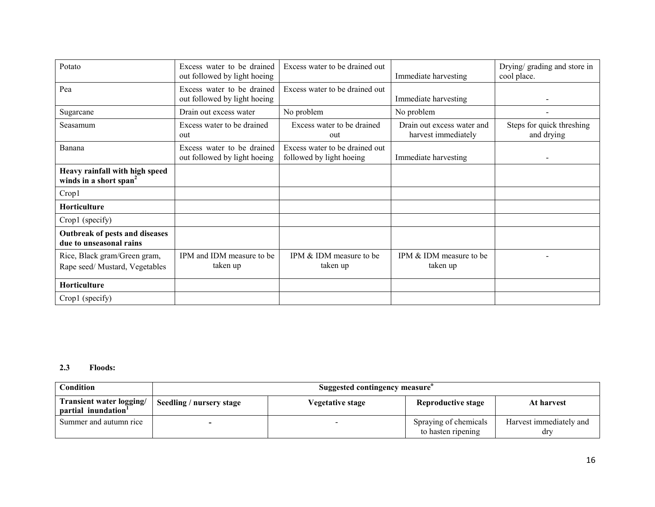| Potato                                                               | Excess water to be drained<br>out followed by light hoeing | Excess water to be drained out                             | Immediate harvesting                              | Drying/ grading and store in<br>cool place. |
|----------------------------------------------------------------------|------------------------------------------------------------|------------------------------------------------------------|---------------------------------------------------|---------------------------------------------|
| Pea                                                                  | Excess water to be drained<br>out followed by light hoeing | Excess water to be drained out                             | Immediate harvesting                              |                                             |
| Sugarcane                                                            | Drain out excess water                                     | No problem                                                 | No problem                                        |                                             |
| Seasamum                                                             | Excess water to be drained<br>out                          | Excess water to be drained<br>out                          | Drain out excess water and<br>harvest immediately | Steps for quick threshing<br>and drying     |
| Banana                                                               | Excess water to be drained<br>out followed by light hoeing | Excess water to be drained out<br>followed by light hoeing | Immediate harvesting                              |                                             |
| Heavy rainfall with high speed<br>winds in a short span <sup>2</sup> |                                                            |                                                            |                                                   |                                             |
| Crop1                                                                |                                                            |                                                            |                                                   |                                             |
| <b>Horticulture</b>                                                  |                                                            |                                                            |                                                   |                                             |
| Crop1 (specify)                                                      |                                                            |                                                            |                                                   |                                             |
| Outbreak of pests and diseases<br>due to unseasonal rains            |                                                            |                                                            |                                                   |                                             |
| Rice, Black gram/Green gram,<br>Rape seed/Mustard, Vegetables        | IPM and IDM measure to be<br>taken up                      | IPM & IDM measure to be<br>taken up                        | IPM & IDM measure to be<br>taken up               |                                             |
| Horticulture                                                         |                                                            |                                                            |                                                   |                                             |
| Crop1 (specify)                                                      |                                                            |                                                            |                                                   |                                             |

# 2.3 Floods:

| Condition                                       | Suggested contingency measure |                         |                                             |                                |
|-------------------------------------------------|-------------------------------|-------------------------|---------------------------------------------|--------------------------------|
| Transient water logging/<br>partial inundation' | Seedling / nursery stage      | <b>Vegetative stage</b> | <b>Reproductive stage</b>                   | At harvest                     |
| Summer and autumn rice                          |                               |                         | Spraying of chemicals<br>to hasten ripening | Harvest immediately and<br>dry |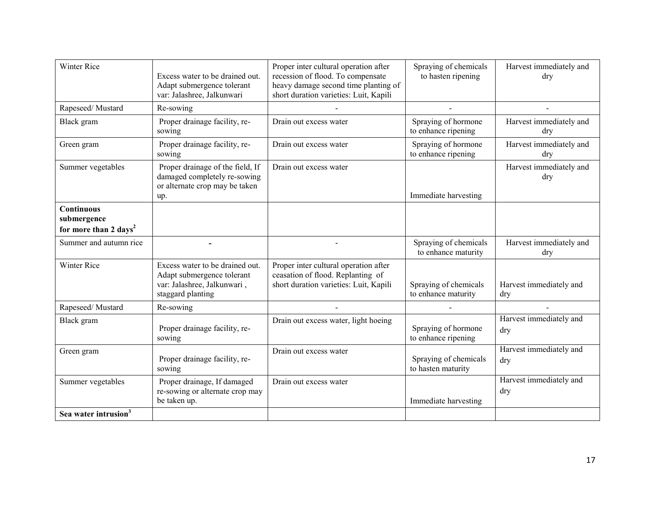| <b>Winter Rice</b>                                                    | Excess water to be drained out.<br>Adapt submergence tolerant<br>var: Jalashree, Jalkunwari                       | Proper inter cultural operation after<br>recession of flood. To compensate<br>heavy damage second time planting of<br>short duration varieties: Luit, Kapili | Spraying of chemicals<br>to hasten ripening  | Harvest immediately and<br>dry |
|-----------------------------------------------------------------------|-------------------------------------------------------------------------------------------------------------------|--------------------------------------------------------------------------------------------------------------------------------------------------------------|----------------------------------------------|--------------------------------|
| Rapeseed/Mustard                                                      | Re-sowing                                                                                                         |                                                                                                                                                              |                                              |                                |
| Black gram                                                            | Proper drainage facility, re-<br>sowing                                                                           | Drain out excess water                                                                                                                                       | Spraying of hormone<br>to enhance ripening   | Harvest immediately and<br>dry |
| Green gram                                                            | Proper drainage facility, re-<br>sowing                                                                           | Drain out excess water                                                                                                                                       | Spraying of hormone<br>to enhance ripening   | Harvest immediately and<br>dry |
| Summer vegetables                                                     | Proper drainage of the field, If<br>damaged completely re-sowing<br>or alternate crop may be taken<br>up.         | Drain out excess water                                                                                                                                       | Immediate harvesting                         | Harvest immediately and<br>dry |
| <b>Continuous</b><br>submergence<br>for more than 2 days <sup>2</sup> |                                                                                                                   |                                                                                                                                                              |                                              |                                |
| Summer and autumn rice                                                |                                                                                                                   |                                                                                                                                                              | Spraying of chemicals<br>to enhance maturity | Harvest immediately and<br>dry |
| <b>Winter Rice</b>                                                    | Excess water to be drained out.<br>Adapt submergence tolerant<br>var: Jalashree, Jalkunwari,<br>staggard planting | Proper inter cultural operation after<br>ceasation of flood. Replanting of<br>short duration varieties: Luit, Kapili                                         | Spraying of chemicals<br>to enhance maturity | Harvest immediately and<br>dry |
| Rapeseed/Mustard                                                      | Re-sowing                                                                                                         |                                                                                                                                                              |                                              |                                |
| Black gram                                                            | Proper drainage facility, re-<br>sowing                                                                           | Drain out excess water, light hoeing                                                                                                                         | Spraying of hormone<br>to enhance ripening   | Harvest immediately and<br>dry |
| Green gram                                                            | Proper drainage facility, re-<br>sowing                                                                           | Drain out excess water                                                                                                                                       | Spraying of chemicals<br>to hasten maturity  | Harvest immediately and<br>dry |
| Summer vegetables                                                     | Proper drainage, If damaged<br>re-sowing or alternate crop may<br>be taken up.                                    | Drain out excess water                                                                                                                                       | Immediate harvesting                         | Harvest immediately and<br>dry |
| Sea water intrusion <sup>3</sup>                                      |                                                                                                                   |                                                                                                                                                              |                                              |                                |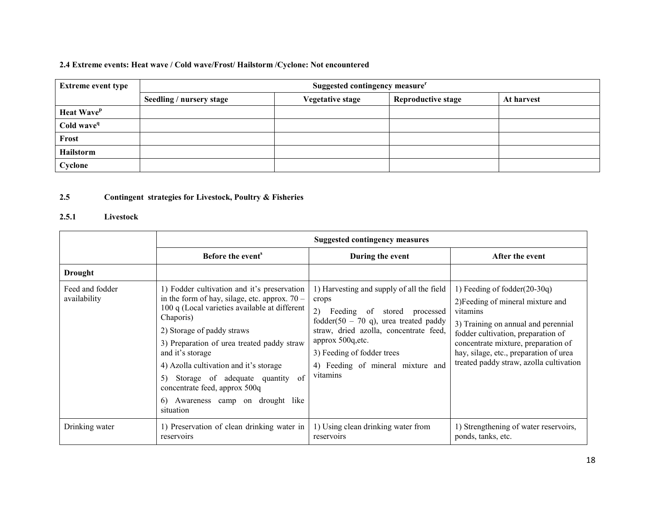# 2.4 Extreme events: Heat wave / Cold wave/Frost/ Hailstorm /Cyclone: Not encountered

| <b>Extreme event type</b> | Suggested contingency measure <sup>r</sup> |                         |                           |            |  |  |
|---------------------------|--------------------------------------------|-------------------------|---------------------------|------------|--|--|
|                           | Seedling / nursery stage                   | <b>Vegetative stage</b> | <b>Reproductive stage</b> | At harvest |  |  |
| Heat Wave <sup>p</sup>    |                                            |                         |                           |            |  |  |
| Cold wave <sup>q</sup>    |                                            |                         |                           |            |  |  |
| Frost                     |                                            |                         |                           |            |  |  |
| Hailstorm                 |                                            |                         |                           |            |  |  |
| Cyclone                   |                                            |                         |                           |            |  |  |

#### 2.5Contingent strategies for Livestock, Poultry & Fisheries

# 2.5.1 Livestock

|                                 | <b>Suggested contingency measures</b>                                                                                                                                                                                                                                                                                                                                                                                                     |                                                                                                                                                                                                                                                                                |                                                                                                                                                                                                                                                                                           |  |  |
|---------------------------------|-------------------------------------------------------------------------------------------------------------------------------------------------------------------------------------------------------------------------------------------------------------------------------------------------------------------------------------------------------------------------------------------------------------------------------------------|--------------------------------------------------------------------------------------------------------------------------------------------------------------------------------------------------------------------------------------------------------------------------------|-------------------------------------------------------------------------------------------------------------------------------------------------------------------------------------------------------------------------------------------------------------------------------------------|--|--|
|                                 | Before the event <sup>s</sup>                                                                                                                                                                                                                                                                                                                                                                                                             | During the event                                                                                                                                                                                                                                                               | After the event                                                                                                                                                                                                                                                                           |  |  |
| <b>Drought</b>                  |                                                                                                                                                                                                                                                                                                                                                                                                                                           |                                                                                                                                                                                                                                                                                |                                                                                                                                                                                                                                                                                           |  |  |
| Feed and fodder<br>availability | 1) Fodder cultivation and it's preservation<br>in the form of hay, silage, etc. approx. $70 -$<br>100 q (Local varieties available at different<br>Chaporis)<br>2) Storage of paddy straws<br>3) Preparation of urea treated paddy straw<br>and it's storage<br>4) Azolla cultivation and it's storage<br>Storage of adequate quantity<br>-of<br>5)<br>concentrate feed, approx 500q<br>Awareness camp on drought like<br>6)<br>situation | 1) Harvesting and supply of all the field<br>crops<br>2)<br>Feeding of stored processed<br>fodder(50 - 70 q), urea treated paddy<br>straw, dried azolla, concentrate feed,<br>approx 500q, etc.<br>3) Feeding of fodder trees<br>4) Feeding of mineral mixture and<br>vitamins | 1) Feeding of fodder $(20-30q)$<br>2) Feeding of mineral mixture and<br>vitamins<br>3) Training on annual and perennial<br>fodder cultivation, preparation of<br>concentrate mixture, preparation of<br>hay, silage, etc., preparation of urea<br>treated paddy straw, azolla cultivation |  |  |
| Drinking water                  | 1) Preservation of clean drinking water in<br>reservoirs                                                                                                                                                                                                                                                                                                                                                                                  | 1) Using clean drinking water from<br>reservoirs                                                                                                                                                                                                                               | 1) Strengthening of water reservoirs,<br>ponds, tanks, etc.                                                                                                                                                                                                                               |  |  |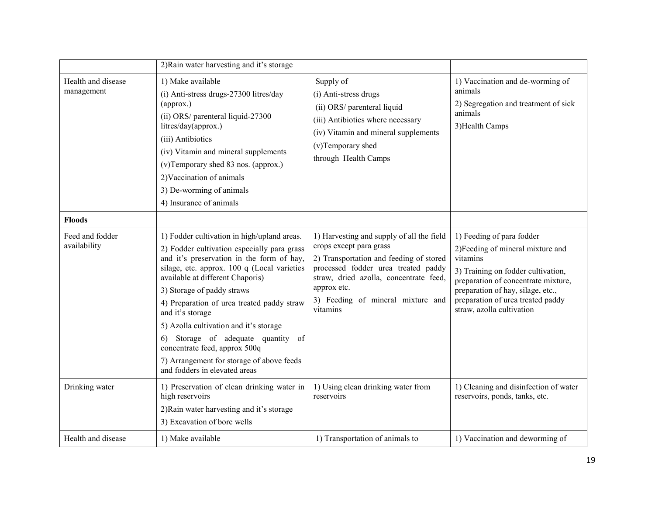|                                  | 2) Rain water harvesting and it's storage                                                                                                                                                                                                                                                                                                                                                                                                                                                                                 |                                                                                                                                                                                                                                                                  |                                                                                                                                                                                                                                                                |
|----------------------------------|---------------------------------------------------------------------------------------------------------------------------------------------------------------------------------------------------------------------------------------------------------------------------------------------------------------------------------------------------------------------------------------------------------------------------------------------------------------------------------------------------------------------------|------------------------------------------------------------------------------------------------------------------------------------------------------------------------------------------------------------------------------------------------------------------|----------------------------------------------------------------------------------------------------------------------------------------------------------------------------------------------------------------------------------------------------------------|
| Health and disease<br>management | 1) Make available<br>(i) Anti-stress drugs-27300 litres/day<br>(approx.)<br>(ii) ORS/ parenteral liquid-27300<br>litres/day(approx.)<br>(iii) Antibiotics<br>(iv) Vitamin and mineral supplements<br>(v)Temporary shed 83 nos. (approx.)<br>2) Vaccination of animals<br>3) De-worming of animals<br>4) Insurance of animals                                                                                                                                                                                              | Supply of<br>(i) Anti-stress drugs<br>(ii) ORS/ parenteral liquid<br>(iii) Antibiotics where necessary<br>(iv) Vitamin and mineral supplements<br>(v)Temporary shed<br>through Health Camps                                                                      | 1) Vaccination and de-worming of<br>animals<br>2) Segregation and treatment of sick<br>animals<br>3) Health Camps                                                                                                                                              |
| <b>Floods</b>                    |                                                                                                                                                                                                                                                                                                                                                                                                                                                                                                                           |                                                                                                                                                                                                                                                                  |                                                                                                                                                                                                                                                                |
| Feed and fodder<br>availability  | 1) Fodder cultivation in high/upland areas.<br>2) Fodder cultivation especially para grass<br>and it's preservation in the form of hay,<br>silage, etc. approx. 100 q (Local varieties<br>available at different Chaporis)<br>3) Storage of paddy straws<br>4) Preparation of urea treated paddy straw<br>and it's storage<br>5) Azolla cultivation and it's storage<br>6) Storage of adequate quantity of<br>concentrate feed, approx 500q<br>7) Arrangement for storage of above feeds<br>and fodders in elevated areas | 1) Harvesting and supply of all the field<br>crops except para grass<br>2) Transportation and feeding of stored<br>processed fodder urea treated paddy<br>straw, dried azolla, concentrate feed,<br>approx etc.<br>3) Feeding of mineral mixture and<br>vitamins | 1) Feeding of para fodder<br>2) Feeding of mineral mixture and<br>vitamins<br>3) Training on fodder cultivation,<br>preparation of concentrate mixture,<br>preparation of hay, silage, etc.,<br>preparation of urea treated paddy<br>straw, azolla cultivation |
| Drinking water                   | 1) Preservation of clean drinking water in<br>high reservoirs<br>2) Rain water harvesting and it's storage<br>3) Excavation of bore wells                                                                                                                                                                                                                                                                                                                                                                                 | 1) Using clean drinking water from<br>reservoirs                                                                                                                                                                                                                 | 1) Cleaning and disinfection of water<br>reservoirs, ponds, tanks, etc.                                                                                                                                                                                        |
| Health and disease               | 1) Make available                                                                                                                                                                                                                                                                                                                                                                                                                                                                                                         | 1) Transportation of animals to                                                                                                                                                                                                                                  | 1) Vaccination and deworming of                                                                                                                                                                                                                                |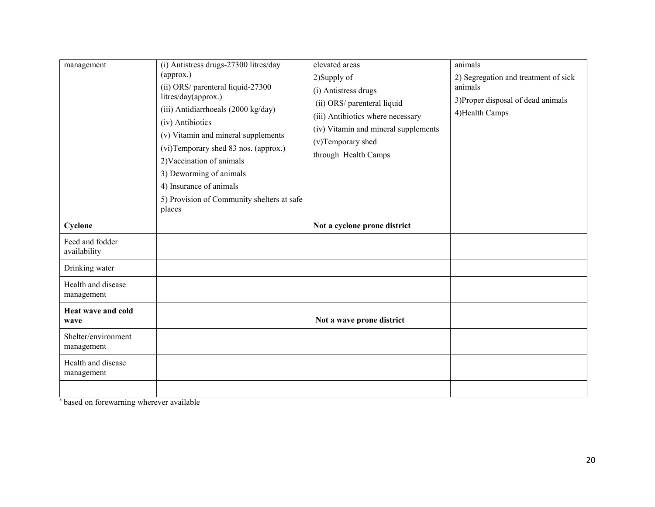| management                        | (i) Antistress drugs-27300 litres/day<br>(approx.)<br>(ii) ORS/ parenteral liquid-27300<br>litres/day(approx.)<br>(iii) Antidiarrhoeals (2000 kg/day)<br>(iv) Antibiotics<br>(v) Vitamin and mineral supplements<br>(vi)Temporary shed 83 nos. (approx.)<br>2) Vaccination of animals<br>3) Deworming of animals<br>4) Insurance of animals<br>5) Provision of Community shelters at safe<br>places | elevated areas<br>2)Supply of<br>(i) Antistress drugs<br>(ii) ORS/ parenteral liquid<br>(iii) Antibiotics where necessary<br>(iv) Vitamin and mineral supplements<br>(v)Temporary shed<br>through Health Camps | animals<br>2) Segregation and treatment of sick<br>animals<br>3) Proper disposal of dead animals<br>4) Health Camps |
|-----------------------------------|-----------------------------------------------------------------------------------------------------------------------------------------------------------------------------------------------------------------------------------------------------------------------------------------------------------------------------------------------------------------------------------------------------|----------------------------------------------------------------------------------------------------------------------------------------------------------------------------------------------------------------|---------------------------------------------------------------------------------------------------------------------|
| Cyclone                           |                                                                                                                                                                                                                                                                                                                                                                                                     | Not a cyclone prone district                                                                                                                                                                                   |                                                                                                                     |
| Feed and fodder<br>availability   |                                                                                                                                                                                                                                                                                                                                                                                                     |                                                                                                                                                                                                                |                                                                                                                     |
| Drinking water                    |                                                                                                                                                                                                                                                                                                                                                                                                     |                                                                                                                                                                                                                |                                                                                                                     |
| Health and disease<br>management  |                                                                                                                                                                                                                                                                                                                                                                                                     |                                                                                                                                                                                                                |                                                                                                                     |
| Heat wave and cold<br>wave        |                                                                                                                                                                                                                                                                                                                                                                                                     | Not a wave prone district                                                                                                                                                                                      |                                                                                                                     |
| Shelter/environment<br>management |                                                                                                                                                                                                                                                                                                                                                                                                     |                                                                                                                                                                                                                |                                                                                                                     |
| Health and disease<br>management  |                                                                                                                                                                                                                                                                                                                                                                                                     |                                                                                                                                                                                                                |                                                                                                                     |
|                                   |                                                                                                                                                                                                                                                                                                                                                                                                     |                                                                                                                                                                                                                |                                                                                                                     |

<sup>s</sup> based on forewarning wherever available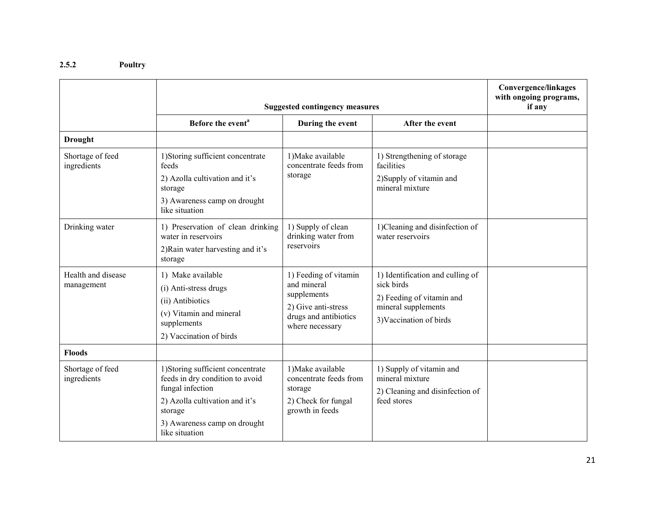#### 2.5.2 Poultry

|                                  | <b>Suggested contingency measures</b>                                                                                                                                                   |                                                                                                                        |                                                                                                                               | Convergence/linkages<br>with ongoing programs,<br>if any |
|----------------------------------|-----------------------------------------------------------------------------------------------------------------------------------------------------------------------------------------|------------------------------------------------------------------------------------------------------------------------|-------------------------------------------------------------------------------------------------------------------------------|----------------------------------------------------------|
|                                  | Before the event <sup>a</sup>                                                                                                                                                           | During the event                                                                                                       | After the event                                                                                                               |                                                          |
| <b>Drought</b>                   |                                                                                                                                                                                         |                                                                                                                        |                                                                                                                               |                                                          |
| Shortage of feed<br>ingredients  | 1) Storing sufficient concentrate<br>feeds<br>2) Azolla cultivation and it's<br>storage<br>3) Awareness camp on drought<br>like situation                                               | 1) Make available<br>concentrate feeds from<br>storage                                                                 | 1) Strengthening of storage<br>facilities<br>2) Supply of vitamin and<br>mineral mixture                                      |                                                          |
| Drinking water                   | 1) Preservation of clean drinking<br>water in reservoirs<br>2) Rain water harvesting and it's<br>storage                                                                                | 1) Supply of clean<br>drinking water from<br>reservoirs                                                                | 1)Cleaning and disinfection of<br>water reservoirs                                                                            |                                                          |
| Health and disease<br>management | 1) Make available<br>(i) Anti-stress drugs<br>(ii) Antibiotics<br>(v) Vitamin and mineral<br>supplements<br>2) Vaccination of birds                                                     | 1) Feeding of vitamin<br>and mineral<br>supplements<br>2) Give anti-stress<br>drugs and antibiotics<br>where necessary | 1) Identification and culling of<br>sick birds<br>2) Feeding of vitamin and<br>mineral supplements<br>3) Vaccination of birds |                                                          |
| <b>Floods</b>                    |                                                                                                                                                                                         |                                                                                                                        |                                                                                                                               |                                                          |
| Shortage of feed<br>ingredients  | 1) Storing sufficient concentrate<br>feeds in dry condition to avoid<br>fungal infection<br>2) Azolla cultivation and it's<br>storage<br>3) Awareness camp on drought<br>like situation | 1) Make available<br>concentrate feeds from<br>storage<br>2) Check for fungal<br>growth in feeds                       | 1) Supply of vitamin and<br>mineral mixture<br>2) Cleaning and disinfection of<br>feed stores                                 |                                                          |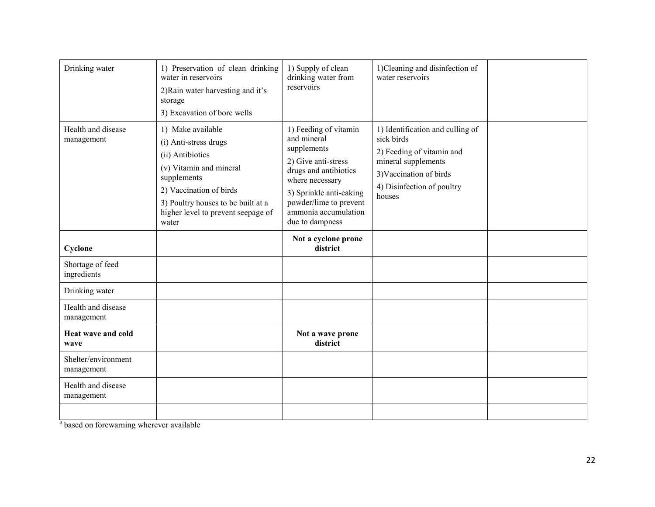| Drinking water                    | 1) Preservation of clean drinking<br>water in reservoirs<br>2) Rain water harvesting and it's<br>storage<br>3) Excavation of bore wells                                                                                  | 1) Supply of clean<br>drinking water from<br>reservoirs                                                                                                                                                                | 1)Cleaning and disinfection of<br>water reservoirs                                                                                                                    |  |
|-----------------------------------|--------------------------------------------------------------------------------------------------------------------------------------------------------------------------------------------------------------------------|------------------------------------------------------------------------------------------------------------------------------------------------------------------------------------------------------------------------|-----------------------------------------------------------------------------------------------------------------------------------------------------------------------|--|
| Health and disease<br>management  | 1) Make available<br>(i) Anti-stress drugs<br>(ii) Antibiotics<br>(v) Vitamin and mineral<br>supplements<br>2) Vaccination of birds<br>3) Poultry houses to be built at a<br>higher level to prevent seepage of<br>water | 1) Feeding of vitamin<br>and mineral<br>supplements<br>2) Give anti-stress<br>drugs and antibiotics<br>where necessary<br>3) Sprinkle anti-caking<br>powder/lime to prevent<br>ammonia accumulation<br>due to dampness | 1) Identification and culling of<br>sick birds<br>2) Feeding of vitamin and<br>mineral supplements<br>3) Vaccination of birds<br>4) Disinfection of poultry<br>houses |  |
| Cyclone                           |                                                                                                                                                                                                                          | Not a cyclone prone<br>district                                                                                                                                                                                        |                                                                                                                                                                       |  |
| Shortage of feed<br>ingredients   |                                                                                                                                                                                                                          |                                                                                                                                                                                                                        |                                                                                                                                                                       |  |
| Drinking water                    |                                                                                                                                                                                                                          |                                                                                                                                                                                                                        |                                                                                                                                                                       |  |
| Health and disease<br>management  |                                                                                                                                                                                                                          |                                                                                                                                                                                                                        |                                                                                                                                                                       |  |
| Heat wave and cold<br>wave        |                                                                                                                                                                                                                          | Not a wave prone<br>district                                                                                                                                                                                           |                                                                                                                                                                       |  |
| Shelter/environment<br>management |                                                                                                                                                                                                                          |                                                                                                                                                                                                                        |                                                                                                                                                                       |  |
| Health and disease<br>management  |                                                                                                                                                                                                                          |                                                                                                                                                                                                                        |                                                                                                                                                                       |  |
|                                   |                                                                                                                                                                                                                          |                                                                                                                                                                                                                        |                                                                                                                                                                       |  |

<sup>a</sup> based on forewarning wherever available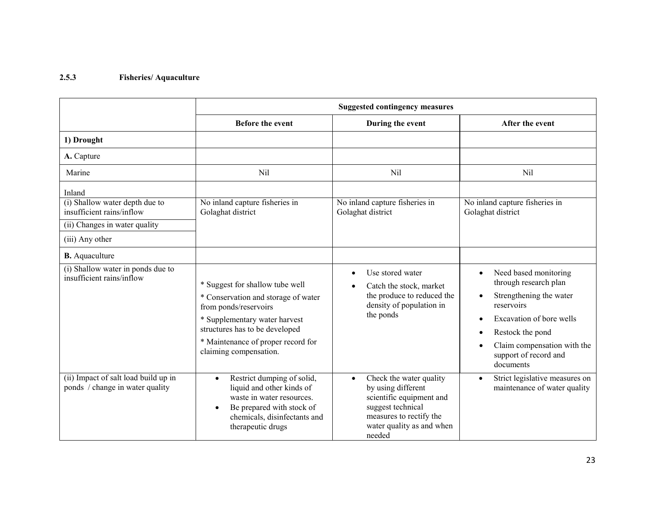# 2.5.3 Fisheries/ Aquaculture

|                                                                                                                           | <b>Suggested contingency measures</b>                                                                                                                                                                                              |                                                                                                                                                                               |                                                                                                                                                                                                                                        |
|---------------------------------------------------------------------------------------------------------------------------|------------------------------------------------------------------------------------------------------------------------------------------------------------------------------------------------------------------------------------|-------------------------------------------------------------------------------------------------------------------------------------------------------------------------------|----------------------------------------------------------------------------------------------------------------------------------------------------------------------------------------------------------------------------------------|
|                                                                                                                           | <b>Before the event</b>                                                                                                                                                                                                            | During the event                                                                                                                                                              | After the event                                                                                                                                                                                                                        |
| 1) Drought                                                                                                                |                                                                                                                                                                                                                                    |                                                                                                                                                                               |                                                                                                                                                                                                                                        |
| A. Capture                                                                                                                |                                                                                                                                                                                                                                    |                                                                                                                                                                               |                                                                                                                                                                                                                                        |
| Marine                                                                                                                    | Nil                                                                                                                                                                                                                                | Nil                                                                                                                                                                           | Nil                                                                                                                                                                                                                                    |
| Inland<br>(i) Shallow water depth due to<br>insufficient rains/inflow<br>(ii) Changes in water quality<br>(iii) Any other | No inland capture fisheries in<br>Golaghat district                                                                                                                                                                                | No inland capture fisheries in<br>Golaghat district                                                                                                                           | No inland capture fisheries in<br>Golaghat district                                                                                                                                                                                    |
| <b>B.</b> Aquaculture                                                                                                     |                                                                                                                                                                                                                                    |                                                                                                                                                                               |                                                                                                                                                                                                                                        |
| (i) Shallow water in ponds due to<br>insufficient rains/inflow                                                            | * Suggest for shallow tube well<br>* Conservation and storage of water<br>from ponds/reservoirs<br>* Supplementary water harvest<br>structures has to be developed<br>* Maintenance of proper record for<br>claiming compensation. | Use stored water<br>$\bullet$<br>Catch the stock, market<br>the produce to reduced the<br>density of population in<br>the ponds                                               | Need based monitoring<br>$\bullet$<br>through research plan<br>Strengthening the water<br>$\bullet$<br>reservoirs<br>Excavation of bore wells<br>Restock the pond<br>Claim compensation with the<br>support of record and<br>documents |
| (ii) Impact of salt load build up in<br>ponds / change in water quality                                                   | Restrict dumping of solid,<br>$\bullet$<br>liquid and other kinds of<br>waste in water resources.<br>Be prepared with stock of<br>$\bullet$<br>chemicals, disinfectants and<br>therapeutic drugs                                   | Check the water quality<br>$\bullet$<br>by using different<br>scientific equipment and<br>suggest technical<br>measures to rectify the<br>water quality as and when<br>needed | Strict legislative measures on<br>$\bullet$<br>maintenance of water quality                                                                                                                                                            |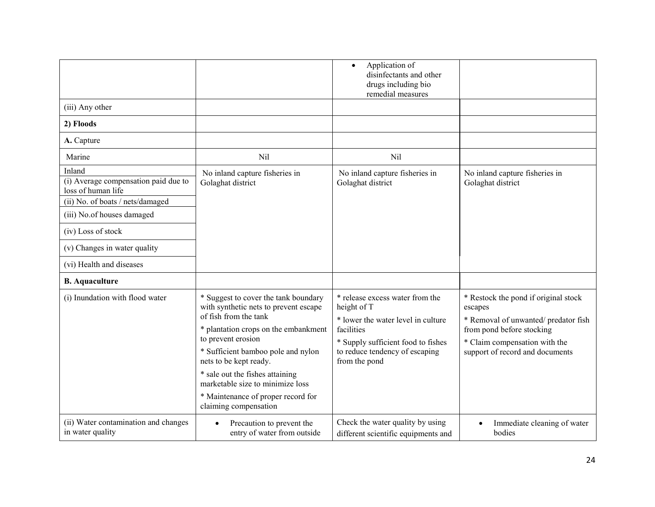|                                                                                                          |                                                                                                                                                                                                                                                                                                                                                                            | Application of<br>$\bullet$<br>disinfectants and other<br>drugs including bio<br>remedial measures                                                                                          |                                                                                                                                                                                         |
|----------------------------------------------------------------------------------------------------------|----------------------------------------------------------------------------------------------------------------------------------------------------------------------------------------------------------------------------------------------------------------------------------------------------------------------------------------------------------------------------|---------------------------------------------------------------------------------------------------------------------------------------------------------------------------------------------|-----------------------------------------------------------------------------------------------------------------------------------------------------------------------------------------|
| (iii) Any other                                                                                          |                                                                                                                                                                                                                                                                                                                                                                            |                                                                                                                                                                                             |                                                                                                                                                                                         |
| 2) Floods                                                                                                |                                                                                                                                                                                                                                                                                                                                                                            |                                                                                                                                                                                             |                                                                                                                                                                                         |
| A. Capture                                                                                               |                                                                                                                                                                                                                                                                                                                                                                            |                                                                                                                                                                                             |                                                                                                                                                                                         |
| Marine                                                                                                   | Nil                                                                                                                                                                                                                                                                                                                                                                        | Nil                                                                                                                                                                                         |                                                                                                                                                                                         |
| Inland<br>(i) Average compensation paid due to<br>loss of human life<br>(ii) No. of boats / nets/damaged | No inland capture fisheries in<br>Golaghat district                                                                                                                                                                                                                                                                                                                        | No inland capture fisheries in<br>Golaghat district                                                                                                                                         | No inland capture fisheries in<br>Golaghat district                                                                                                                                     |
| (iii) No.of houses damaged                                                                               |                                                                                                                                                                                                                                                                                                                                                                            |                                                                                                                                                                                             |                                                                                                                                                                                         |
| (iv) Loss of stock                                                                                       |                                                                                                                                                                                                                                                                                                                                                                            |                                                                                                                                                                                             |                                                                                                                                                                                         |
| (v) Changes in water quality                                                                             |                                                                                                                                                                                                                                                                                                                                                                            |                                                                                                                                                                                             |                                                                                                                                                                                         |
| (vi) Health and diseases                                                                                 |                                                                                                                                                                                                                                                                                                                                                                            |                                                                                                                                                                                             |                                                                                                                                                                                         |
| <b>B.</b> Aquaculture                                                                                    |                                                                                                                                                                                                                                                                                                                                                                            |                                                                                                                                                                                             |                                                                                                                                                                                         |
| (i) Inundation with flood water                                                                          | * Suggest to cover the tank boundary<br>with synthetic nets to prevent escape<br>of fish from the tank<br>* plantation crops on the embankment<br>to prevent erosion<br>* Sufficient bamboo pole and nylon<br>nets to be kept ready.<br>* sale out the fishes attaining<br>marketable size to minimize loss<br>* Maintenance of proper record for<br>claiming compensation | * release excess water from the<br>height of T<br>* lower the water level in culture<br>facilities<br>* Supply sufficient food to fishes<br>to reduce tendency of escaping<br>from the pond | * Restock the pond if original stock<br>escapes<br>* Removal of unwanted/predator fish<br>from pond before stocking<br>* Claim compensation with the<br>support of record and documents |
| (ii) Water contamination and changes<br>in water quality                                                 | Precaution to prevent the<br>entry of water from outside                                                                                                                                                                                                                                                                                                                   | Check the water quality by using<br>different scientific equipments and                                                                                                                     | Immediate cleaning of water<br>bodies                                                                                                                                                   |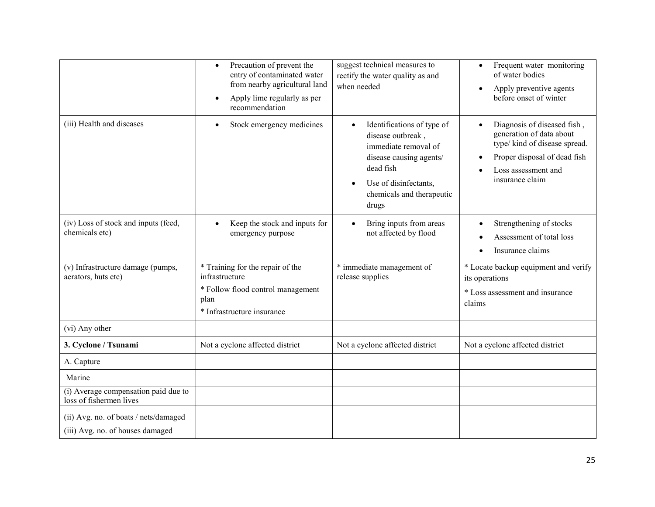|                                                                 | Precaution of prevent the<br>$\bullet$<br>entry of contaminated water<br>from nearby agricultural land<br>Apply lime regularly as per<br>recommendation | suggest technical measures to<br>rectify the water quality as and<br>when needed                                                                                               | Frequent water monitoring<br>$\bullet$<br>of water bodies<br>Apply preventive agents<br>$\bullet$<br>before onset of winter                                                     |
|-----------------------------------------------------------------|---------------------------------------------------------------------------------------------------------------------------------------------------------|--------------------------------------------------------------------------------------------------------------------------------------------------------------------------------|---------------------------------------------------------------------------------------------------------------------------------------------------------------------------------|
| (iii) Health and diseases                                       | Stock emergency medicines                                                                                                                               | Identifications of type of<br>disease outbreak,<br>immediate removal of<br>disease causing agents/<br>dead fish<br>Use of disinfectants,<br>chemicals and therapeutic<br>drugs | Diagnosis of diseased fish,<br>generation of data about<br>type/ kind of disease spread.<br>Proper disposal of dead fish<br>$\bullet$<br>Loss assessment and<br>insurance claim |
| (iv) Loss of stock and inputs (feed,<br>chemicals etc)          | Keep the stock and inputs for<br>emergency purpose                                                                                                      | Bring inputs from areas<br>$\bullet$<br>not affected by flood                                                                                                                  | Strengthening of stocks<br>$\bullet$<br>Assessment of total loss<br>Insurance claims                                                                                            |
| (v) Infrastructure damage (pumps,<br>aerators, huts etc)        | * Training for the repair of the<br>infrastructure<br>* Follow flood control management<br>plan<br>* Infrastructure insurance                           | * immediate management of<br>release supplies                                                                                                                                  | * Locate backup equipment and verify<br>its operations<br>* Loss assessment and insurance<br>claims                                                                             |
| (vi) Any other                                                  |                                                                                                                                                         |                                                                                                                                                                                |                                                                                                                                                                                 |
| 3. Cyclone / Tsunami                                            | Not a cyclone affected district                                                                                                                         | Not a cyclone affected district                                                                                                                                                | Not a cyclone affected district                                                                                                                                                 |
| A. Capture                                                      |                                                                                                                                                         |                                                                                                                                                                                |                                                                                                                                                                                 |
| Marine                                                          |                                                                                                                                                         |                                                                                                                                                                                |                                                                                                                                                                                 |
| (i) Average compensation paid due to<br>loss of fishermen lives |                                                                                                                                                         |                                                                                                                                                                                |                                                                                                                                                                                 |
| (ii) Avg. no. of boats / nets/damaged                           |                                                                                                                                                         |                                                                                                                                                                                |                                                                                                                                                                                 |
| (iii) Avg. no. of houses damaged                                |                                                                                                                                                         |                                                                                                                                                                                |                                                                                                                                                                                 |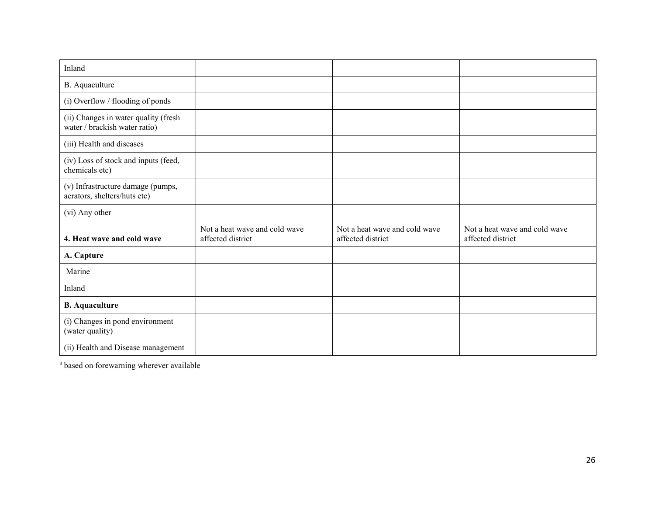| Inland                                                                |                                                    |                                                    |                                                    |
|-----------------------------------------------------------------------|----------------------------------------------------|----------------------------------------------------|----------------------------------------------------|
| B. Aquaculture                                                        |                                                    |                                                    |                                                    |
| (i) Overflow / flooding of ponds                                      |                                                    |                                                    |                                                    |
| (ii) Changes in water quality (fresh<br>water / brackish water ratio) |                                                    |                                                    |                                                    |
| (iii) Health and diseases                                             |                                                    |                                                    |                                                    |
| (iv) Loss of stock and inputs (feed,<br>chemicals etc)                |                                                    |                                                    |                                                    |
| (v) Infrastructure damage (pumps,<br>aerators, shelters/huts etc)     |                                                    |                                                    |                                                    |
| (vi) Any other                                                        |                                                    |                                                    |                                                    |
| 4. Heat wave and cold wave                                            | Not a heat wave and cold wave<br>affected district | Not a heat wave and cold wave<br>affected district | Not a heat wave and cold wave<br>affected district |
| A. Capture                                                            |                                                    |                                                    |                                                    |
| Marine                                                                |                                                    |                                                    |                                                    |
| Inland                                                                |                                                    |                                                    |                                                    |
| <b>B.</b> Aquaculture                                                 |                                                    |                                                    |                                                    |
| (i) Changes in pond environment<br>(water quality)                    |                                                    |                                                    |                                                    |
| (ii) Health and Disease management                                    |                                                    |                                                    |                                                    |

<sup>a</sup> based on forewarning wherever available